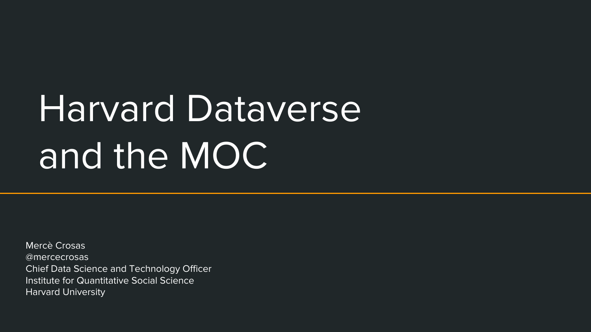# Harvard Dataverse and the MOC

Mercè Crosas @mercecrosas Chief Data Science and Technology Officer Institute for Quantitative Social Science Harvard University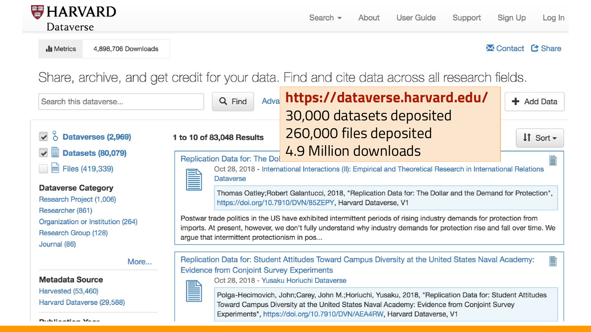

Il Metrics 4,898,706 Downloads **X** Contact **C** Share

Share, archive, and get credit for your data. Find and cite data across all research fields.

| Search this dataverse                                                                         | Adva<br>Q Find                                                                                                                                                                                                                                                                                                                                                                                                                                                                                                                                                                                                     | https://dataverse.harvard.edu/<br>30,000 datasets deposited                                                                                                                                                                                     | + Add Data                   |
|-----------------------------------------------------------------------------------------------|--------------------------------------------------------------------------------------------------------------------------------------------------------------------------------------------------------------------------------------------------------------------------------------------------------------------------------------------------------------------------------------------------------------------------------------------------------------------------------------------------------------------------------------------------------------------------------------------------------------------|-------------------------------------------------------------------------------------------------------------------------------------------------------------------------------------------------------------------------------------------------|------------------------------|
| $\vee$ $\circ$ Dataverses (2,969)<br>$\Box$ Datasets (80,079)                                 | 1 to 10 of 83,048 Results<br>Replication Data for: The Dol                                                                                                                                                                                                                                                                                                                                                                                                                                                                                                                                                         | 260,000 files deposited<br><b>4.9 Million downloads</b>                                                                                                                                                                                         | $\text{If }$ Sort $\text{-}$ |
| $\overrightarrow{m}$ Files (419,339)                                                          | Oct 28, 2018 - International Interactions (II): Empirical and Theoretical Research in International Relations<br>Ê<br><b>Dataverse</b><br>Thomas Oatley; Robert Galantucci, 2018, "Replication Data for: The Dollar and the Demand for Protection",<br>https://doi.org/10.7910/DVN/85ZEPY, Harvard Dataverse, V1<br>Postwar trade politics in the US have exhibited intermittent periods of rising industry demands for protection from<br>imports. At present, however, we don't fully understand why industry demands for protection rise and fall over time. We<br>argue that intermittent protectionism in pos |                                                                                                                                                                                                                                                 |                              |
| <b>Dataverse Category</b><br>Research Project (1,006)                                         |                                                                                                                                                                                                                                                                                                                                                                                                                                                                                                                                                                                                                    |                                                                                                                                                                                                                                                 |                              |
| Researcher (861)<br>Organization or Institution (264)<br>Research Group (128)<br>Journal (86) |                                                                                                                                                                                                                                                                                                                                                                                                                                                                                                                                                                                                                    |                                                                                                                                                                                                                                                 |                              |
| More                                                                                          | Replication Data for: Student Attitudes Toward Campus Diversity at the United States Naval Academy:<br>B<br><b>Evidence from Conjoint Survey Experiments</b>                                                                                                                                                                                                                                                                                                                                                                                                                                                       |                                                                                                                                                                                                                                                 |                              |
| <b>Metadata Source</b><br><b>Harvested (53,460)</b><br>Harvard Dataverse (29,588)             |                                                                                                                                                                                                                                                                                                                                                                                                                                                                                                                                                                                                                    | Oct 28, 2018 - Yusaku Horiuchi Dataverse<br>Polga-Hecimovich, John;Carey, John M.;Horiuchi, Yusaku, 2018, "Replication Data for: Student Attitudes<br>Toward Campus Diversity at the United States Naval Academy: Evidence from Conjoint Survey |                              |

Experiments", https://doi.org/10.7910/DVN/AEA4RW, Harvard Dataverse, V1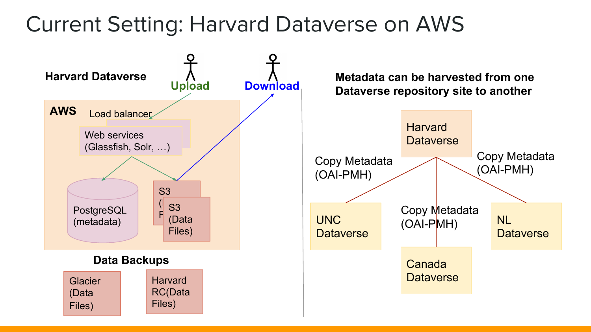## Current Setting: Harvard Dataverse on AWS

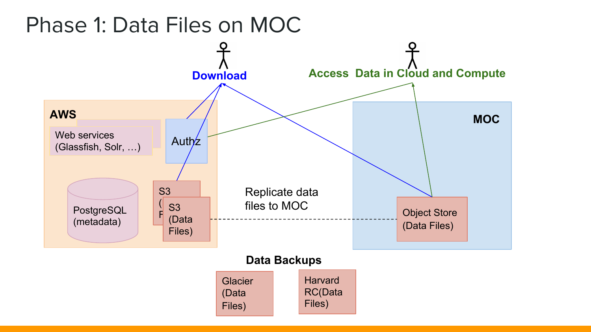### Phase 1: Data Files on MOC

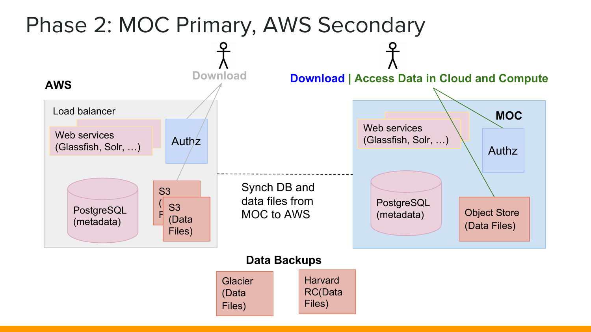

#### **Data Backups**

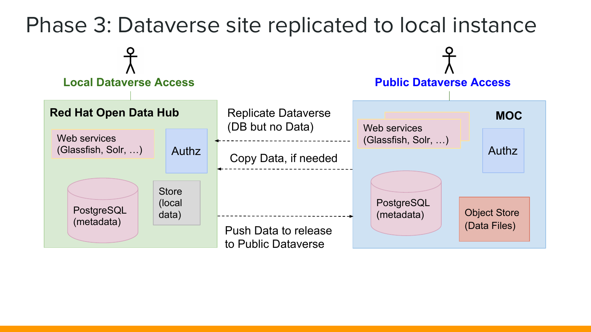#### Phase 3: Dataverse site replicated to local instance